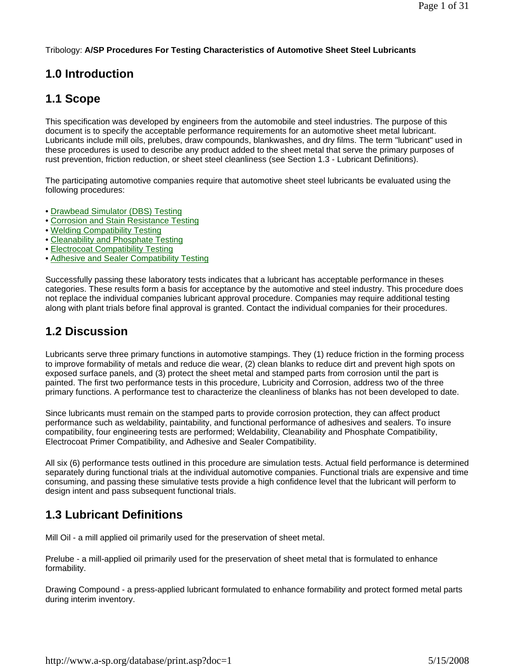#### Tribology: **A/SP Procedures For Testing Characteristics of Automotive Sheet Steel Lubricants**

# **1.0 Introduction**

# **1.1 Scope**

This specification was developed by engineers from the automobile and steel industries. The purpose of this document is to specify the acceptable performance requirements for an automotive sheet metal lubricant. Lubricants include mill oils, prelubes, draw compounds, blankwashes, and dry films. The term "lubricant" used in these procedures is used to describe any product added to the sheet metal that serve the primary purposes of rust prevention, friction reduction, or sheet steel cleanliness (see Section 1.3 - Lubricant Definitions).

The participating automotive companies require that automotive sheet steel lubricants be evaluated using the following procedures:

- Drawbead Simulator (DBS) Testing
- Corrosion and Stain Resistance Testing
- Welding Compatibility Testing
- Cleanability and Phosphate Testing
- Electrocoat Compatibility Testing
- Adhesive and Sealer Compatibility Testing

Successfully passing these laboratory tests indicates that a lubricant has acceptable performance in theses categories. These results form a basis for acceptance by the automotive and steel industry. This procedure does not replace the individual companies lubricant approval procedure. Companies may require additional testing along with plant trials before final approval is granted. Contact the individual companies for their procedures.

### **1.2 Discussion**

Lubricants serve three primary functions in automotive stampings. They (1) reduce friction in the forming process to improve formability of metals and reduce die wear, (2) clean blanks to reduce dirt and prevent high spots on exposed surface panels, and (3) protect the sheet metal and stamped parts from corrosion until the part is painted. The first two performance tests in this procedure, Lubricity and Corrosion, address two of the three primary functions. A performance test to characterize the cleanliness of blanks has not been developed to date.

Since lubricants must remain on the stamped parts to provide corrosion protection, they can affect product performance such as weldability, paintability, and functional performance of adhesives and sealers. To insure compatibility, four engineering tests are performed; Weldability, Cleanability and Phosphate Compatibility, Electrocoat Primer Compatibility, and Adhesive and Sealer Compatibility.

All six (6) performance tests outlined in this procedure are simulation tests. Actual field performance is determined separately during functional trials at the individual automotive companies. Functional trials are expensive and time consuming, and passing these simulative tests provide a high confidence level that the lubricant will perform to design intent and pass subsequent functional trials.

# **1.3 Lubricant Definitions**

Mill Oil - a mill applied oil primarily used for the preservation of sheet metal.

Prelube - a mill-applied oil primarily used for the preservation of sheet metal that is formulated to enhance formability.

Drawing Compound - a press-applied lubricant formulated to enhance formability and protect formed metal parts during interim inventory.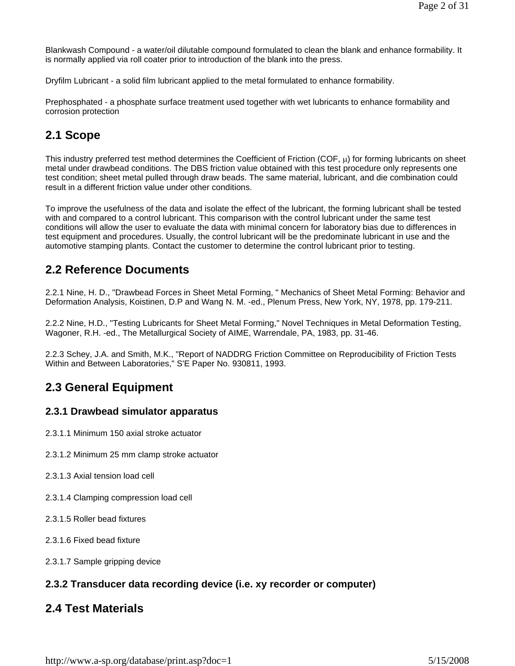Blankwash Compound - a water/oil dilutable compound formulated to clean the blank and enhance formability. It is normally applied via roll coater prior to introduction of the blank into the press.

Dryfilm Lubricant - a solid film lubricant applied to the metal formulated to enhance formability.

Prephosphated - a phosphate surface treatment used together with wet lubricants to enhance formability and corrosion protection

# **2.1 Scope**

This industry preferred test method determines the Coefficient of Friction (COF,  $\mu$ ) for forming lubricants on sheet metal under drawbead conditions. The DBS friction value obtained with this test procedure only represents one test condition; sheet metal pulled through draw beads. The same material, lubricant, and die combination could result in a different friction value under other conditions.

To improve the usefulness of the data and isolate the effect of the lubricant, the forming lubricant shall be tested with and compared to a control lubricant. This comparison with the control lubricant under the same test conditions will allow the user to evaluate the data with minimal concern for laboratory bias due to differences in test equipment and procedures. Usually, the control lubricant will be the predominate lubricant in use and the automotive stamping plants. Contact the customer to determine the control lubricant prior to testing.

### **2.2 Reference Documents**

2.2.1 Nine, H. D., "Drawbead Forces in Sheet Metal Forming, " Mechanics of Sheet Metal Forming: Behavior and Deformation Analysis, Koistinen, D.P and Wang N. M. -ed., Plenum Press, New York, NY, 1978, pp. 179-211.

2.2.2 Nine, H.D., "Testing Lubricants for Sheet Metal Forming," Novel Techniques in Metal Deformation Testing, Wagoner, R.H. -ed., The Metallurgical Society of AIME, Warrendale, PA, 1983, pp. 31-46.

2.2.3 Schey, J.A. and Smith, M.K., "Report of NADDRG Friction Committee on Reproducibility of Friction Tests Within and Between Laboratories," S'E Paper No. 930811, 1993.

# **2.3 General Equipment**

### **2.3.1 Drawbead simulator apparatus**

- 2.3.1.1 Minimum 150 axial stroke actuator
- 2.3.1.2 Minimum 25 mm clamp stroke actuator
- 2.3.1.3 Axial tension load cell
- 2.3.1.4 Clamping compression load cell
- 2.3.1.5 Roller bead fixtures
- 2.3.1.6 Fixed bead fixture
- 2.3.1.7 Sample gripping device

#### **2.3.2 Transducer data recording device (i.e. xy recorder or computer)**

### **2.4 Test Materials**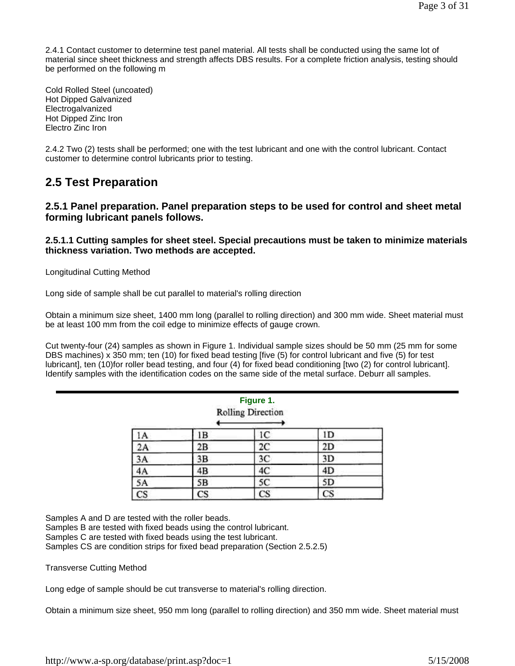2.4.1 Contact customer to determine test panel material. All tests shall be conducted using the same lot of material since sheet thickness and strength affects DBS results. For a complete friction analysis, testing should be performed on the following m

Cold Rolled Steel (uncoated) Hot Dipped Galvanized Electrogalvanized Hot Dipped Zinc Iron Electro Zinc Iron

2.4.2 Two (2) tests shall be performed; one with the test lubricant and one with the control lubricant. Contact customer to determine control lubricants prior to testing.

### **2.5 Test Preparation**

**2.5.1 Panel preparation. Panel preparation steps to be used for control and sheet metal forming lubricant panels follows.** 

#### **2.5.1.1 Cutting samples for sheet steel. Special precautions must be taken to minimize materials thickness variation. Two methods are accepted.**

Longitudinal Cutting Method

Long side of sample shall be cut parallel to material's rolling direction

Obtain a minimum size sheet, 1400 mm long (parallel to rolling direction) and 300 mm wide. Sheet material must be at least 100 mm from the coil edge to minimize effects of gauge crown.

Cut twenty-four (24) samples as shown in Figure 1. Individual sample sizes should be 50 mm (25 mm for some DBS machines) x 350 mm; ten (10) for fixed bead testing [five (5) for control lubricant and five (5) for test lubricant], ten (10)for roller bead testing, and four (4) for fixed bead conditioning [two (2) for control lubricant]. Identify samples with the identification codes on the same side of the metal surface. Deburr all samples.

| Figure 1.<br><b>Rolling Direction</b> |    |                |           |
|---------------------------------------|----|----------------|-----------|
| 1A                                    | ΙB | 1C             | ID        |
| 2A                                    | 2B | $_{2C}$        | 2D        |
| 3A                                    | 3Β | 3C             | 3D        |
| 4A                                    | 4B | 4 <sup>C</sup> | 4D        |
| 5A                                    | 5B | 5C             | 5D        |
| CS                                    | CS | CS             | <b>CS</b> |

Samples A and D are tested with the roller beads.

Samples B are tested with fixed beads using the control lubricant.

Samples C are tested with fixed beads using the test lubricant.

Samples CS are condition strips for fixed bead preparation (Section 2.5.2.5)

Transverse Cutting Method

Long edge of sample should be cut transverse to material's rolling direction.

Obtain a minimum size sheet, 950 mm long (parallel to rolling direction) and 350 mm wide. Sheet material must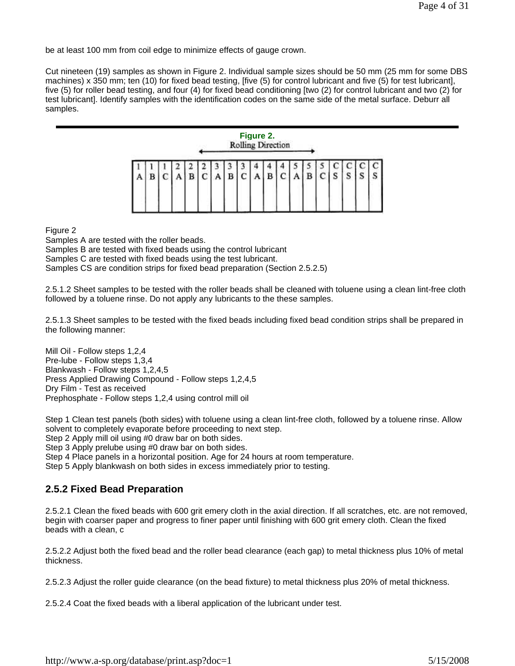be at least 100 mm from coil edge to minimize effects of gauge crown.

Cut nineteen (19) samples as shown in Figure 2. Individual sample sizes should be 50 mm (25 mm for some DBS machines) x 350 mm; ten (10) for fixed bead testing, [five (5) for control lubricant and five (5) for test lubricant], five (5) for roller bead testing, and four (4) for fixed bead conditioning [two (2) for control lubricant and two (2) for test lubricant]. Identify samples with the identification codes on the same side of the metal surface. Deburr all samples.



Figure 2

Samples A are tested with the roller beads.

Samples B are tested with fixed beads using the control lubricant

Samples C are tested with fixed beads using the test lubricant.

Samples CS are condition strips for fixed bead preparation (Section 2.5.2.5)

2.5.1.2 Sheet samples to be tested with the roller beads shall be cleaned with toluene using a clean lint-free cloth followed by a toluene rinse. Do not apply any lubricants to the these samples.

2.5.1.3 Sheet samples to be tested with the fixed beads including fixed bead condition strips shall be prepared in the following manner:

Mill Oil - Follow steps 1,2,4 Pre-lube - Follow steps 1,3,4 Blankwash - Follow steps 1,2,4,5 Press Applied Drawing Compound - Follow steps 1,2,4,5 Dry Film - Test as received Prephosphate - Follow steps 1,2,4 using control mill oil

Step 1 Clean test panels (both sides) with toluene using a clean lint-free cloth, followed by a toluene rinse. Allow solvent to completely evaporate before proceeding to next step.

Step 2 Apply mill oil using #0 draw bar on both sides.

Step 3 Apply prelube using #0 draw bar on both sides.

Step 4 Place panels in a horizontal position. Age for 24 hours at room temperature.

Step 5 Apply blankwash on both sides in excess immediately prior to testing.

#### **2.5.2 Fixed Bead Preparation**

2.5.2.1 Clean the fixed beads with 600 grit emery cloth in the axial direction. If all scratches, etc. are not removed, begin with coarser paper and progress to finer paper until finishing with 600 grit emery cloth. Clean the fixed beads with a clean, c

2.5.2.2 Adjust both the fixed bead and the roller bead clearance (each gap) to metal thickness plus 10% of metal thickness.

2.5.2.3 Adjust the roller guide clearance (on the bead fixture) to metal thickness plus 20% of metal thickness.

2.5.2.4 Coat the fixed beads with a liberal application of the lubricant under test.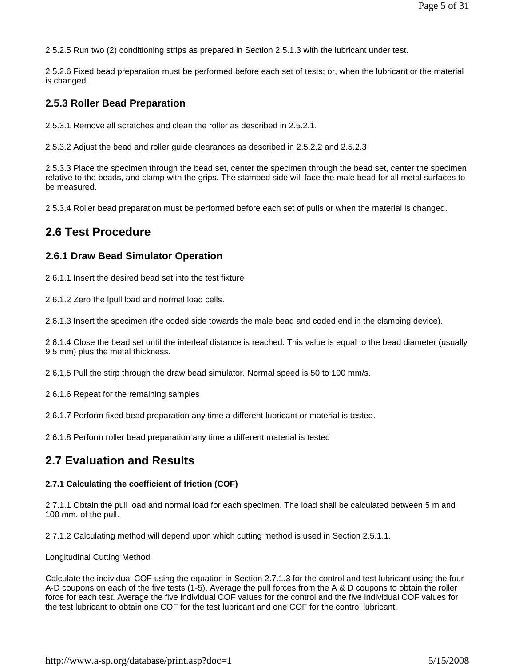2.5.2.5 Run two (2) conditioning strips as prepared in Section 2.5.1.3 with the lubricant under test.

2.5.2.6 Fixed bead preparation must be performed before each set of tests; or, when the lubricant or the material is changed.

#### **2.5.3 Roller Bead Preparation**

2.5.3.1 Remove all scratches and clean the roller as described in 2.5.2.1.

2.5.3.2 Adjust the bead and roller guide clearances as described in 2.5.2.2 and 2.5.2.3

2.5.3.3 Place the specimen through the bead set, center the specimen through the bead set, center the specimen relative to the beads, and clamp with the grips. The stamped side will face the male bead for all metal surfaces to be measured.

2.5.3.4 Roller bead preparation must be performed before each set of pulls or when the material is changed.

### **2.6 Test Procedure**

#### **2.6.1 Draw Bead Simulator Operation**

2.6.1.1 Insert the desired bead set into the test fixture

2.6.1.2 Zero the lpull load and normal load cells.

2.6.1.3 Insert the specimen (the coded side towards the male bead and coded end in the clamping device).

2.6.1.4 Close the bead set until the interleaf distance is reached. This value is equal to the bead diameter (usually 9.5 mm) plus the metal thickness.

2.6.1.5 Pull the stirp through the draw bead simulator. Normal speed is 50 to 100 mm/s.

2.6.1.6 Repeat for the remaining samples

2.6.1.7 Perform fixed bead preparation any time a different lubricant or material is tested.

2.6.1.8 Perform roller bead preparation any time a different material is tested

### **2.7 Evaluation and Results**

#### **2.7.1 Calculating the coefficient of friction (COF)**

2.7.1.1 Obtain the pull load and normal load for each specimen. The load shall be calculated between 5 m and 100 mm. of the pull.

2.7.1.2 Calculating method will depend upon which cutting method is used in Section 2.5.1.1.

#### Longitudinal Cutting Method

Calculate the individual COF using the equation in Section 2.7.1.3 for the control and test lubricant using the four A-D coupons on each of the five tests (1-5). Average the pull forces from the A & D coupons to obtain the roller force for each test. Average the five individual COF values for the control and the five individual COF values for the test lubricant to obtain one COF for the test lubricant and one COF for the control lubricant.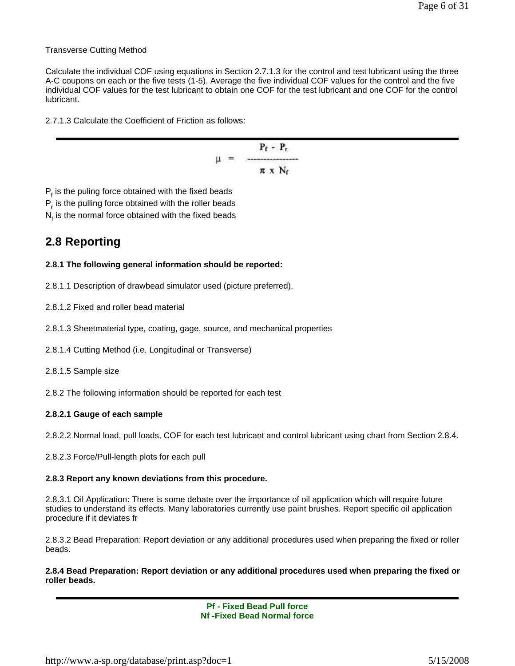Transverse Cutting Method

Calculate the individual COF using equations in Section 2.7.1.3 for the control and test lubricant using the three A-C coupons on each or the five tests (1-5). Average the five individual COF values for the control and the five individual COF values for the test lubricant to obtain one COF for the test lubricant and one COF for the control lubricant.

2.7.1.3 Calculate the Coefficient of Friction as follows:

$$
\mu = \frac{P_f - P_r}{\pi \times N_f}
$$

 $P_f$  is the puling force obtained with the fixed beads P<sub>r</sub> is the pulling force obtained with the roller beads  $N_f$  is the normal force obtained with the fixed beads

# **2.8 Reporting**

#### **2.8.1 The following general information should be reported:**

- 2.8.1.1 Description of drawbead simulator used (picture preferred).
- 2.8.1.2 Fixed and roller bead material
- 2.8.1.3 Sheetmaterial type, coating, gage, source, and mechanical properties
- 2.8.1.4 Cutting Method (i.e. Longitudinal or Transverse)
- 2.8.1.5 Sample size
- 2.8.2 The following information should be reported for each test

#### **2.8.2.1 Gauge of each sample**

- 2.8.2.2 Normal load, pull loads, COF for each test lubricant and control lubricant using chart from Section 2.8.4.
- 2.8.2.3 Force/Pull-length plots for each pull

#### **2.8.3 Report any known deviations from this procedure.**

2.8.3.1 Oil Application: There is some debate over the importance of oil application which will require future studies to understand its effects. Many laboratories currently use paint brushes. Report specific oil application procedure if it deviates fr

2.8.3.2 Bead Preparation: Report deviation or any additional procedures used when preparing the fixed or roller beads.

**2.8.4 Bead Preparation: Report deviation or any additional procedures used when preparing the fixed or roller beads.**

> **Pf - Fixed Bead Pull force Nf -Fixed Bead Normal force**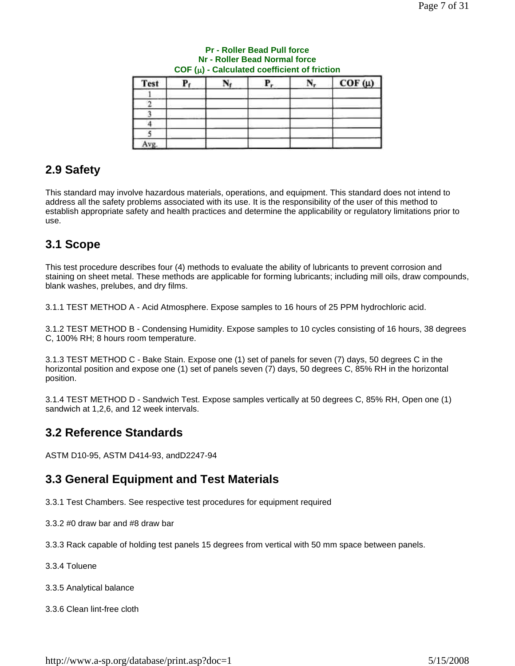| Test           | Р. | Р, | $COF(\mu)$ |
|----------------|----|----|------------|
|                |    |    |            |
|                |    |    |            |
|                |    |    |            |
|                |    |    |            |
|                |    |    |            |
| $\overline{ }$ |    |    |            |

#### **Pr - Roller Bead Pull force Nr - Roller Bead Normal force COF (**μ**) - Calculated coefficient of friction**

# **2.9 Safety**

This standard may involve hazardous materials, operations, and equipment. This standard does not intend to address all the safety problems associated with its use. It is the responsibility of the user of this method to establish appropriate safety and health practices and determine the applicability or regulatory limitations prior to use.

# **3.1 Scope**

This test procedure describes four (4) methods to evaluate the ability of lubricants to prevent corrosion and staining on sheet metal. These methods are applicable for forming lubricants; including mill oils, draw compounds, blank washes, prelubes, and dry films.

3.1.1 TEST METHOD A - Acid Atmosphere. Expose samples to 16 hours of 25 PPM hydrochloric acid.

3.1.2 TEST METHOD B - Condensing Humidity. Expose samples to 10 cycles consisting of 16 hours, 38 degrees C, 100% RH; 8 hours room temperature.

3.1.3 TEST METHOD C - Bake Stain. Expose one (1) set of panels for seven (7) days, 50 degrees C in the horizontal position and expose one (1) set of panels seven (7) days, 50 degrees C, 85% RH in the horizontal position.

3.1.4 TEST METHOD D - Sandwich Test. Expose samples vertically at 50 degrees C, 85% RH, Open one (1) sandwich at 1,2,6, and 12 week intervals.

# **3.2 Reference Standards**

ASTM D10-95, ASTM D414-93, andD2247-94

# **3.3 General Equipment and Test Materials**

3.3.1 Test Chambers. See respective test procedures for equipment required

3.3.2 #0 draw bar and #8 draw bar

3.3.3 Rack capable of holding test panels 15 degrees from vertical with 50 mm space between panels.

- 3.3.4 Toluene
- 3.3.5 Analytical balance
- 3.3.6 Clean lint-free cloth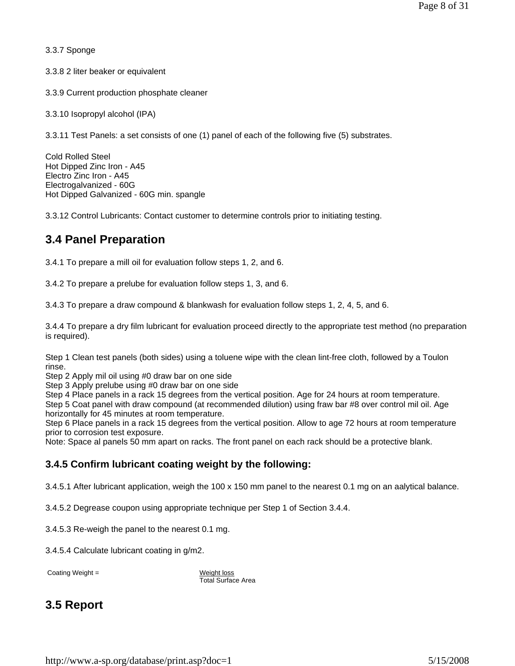3.3.7 Sponge

3.3.8 2 liter beaker or equivalent

3.3.9 Current production phosphate cleaner

3.3.10 Isopropyl alcohol (IPA)

3.3.11 Test Panels: a set consists of one (1) panel of each of the following five (5) substrates.

Cold Rolled Steel Hot Dipped Zinc Iron - A45 Electro Zinc Iron - A45 Electrogalvanized - 60G Hot Dipped Galvanized - 60G min. spangle

3.3.12 Control Lubricants: Contact customer to determine controls prior to initiating testing.

### **3.4 Panel Preparation**

3.4.1 To prepare a mill oil for evaluation follow steps 1, 2, and 6.

3.4.2 To prepare a prelube for evaluation follow steps 1, 3, and 6.

3.4.3 To prepare a draw compound & blankwash for evaluation follow steps 1, 2, 4, 5, and 6.

3.4.4 To prepare a dry film lubricant for evaluation proceed directly to the appropriate test method (no preparation is required).

Step 1 Clean test panels (both sides) using a toluene wipe with the clean lint-free cloth, followed by a Toulon rinse.

Step 2 Apply mil oil using #0 draw bar on one side

Step 3 Apply prelube using #0 draw bar on one side

Step 4 Place panels in a rack 15 degrees from the vertical position. Age for 24 hours at room temperature. Step 5 Coat panel with draw compound (at recommended dilution) using fraw bar #8 over control mil oil. Age horizontally for 45 minutes at room temperature.

Step 6 Place panels in a rack 15 degrees from the vertical position. Allow to age 72 hours at room temperature prior to corrosion test exposure.

Note: Space al panels 50 mm apart on racks. The front panel on each rack should be a protective blank.

#### **3.4.5 Confirm lubricant coating weight by the following:**

3.4.5.1 After lubricant application, weigh the 100 x 150 mm panel to the nearest 0.1 mg on an aalytical balance.

3.4.5.2 Degrease coupon using appropriate technique per Step 1 of Section 3.4.4.

3.4.5.3 Re-weigh the panel to the nearest 0.1 mg.

3.4.5.4 Calculate lubricant coating in g/m2.

Coating Weight = Weight loss

Total Surface Area

# **3.5 Report**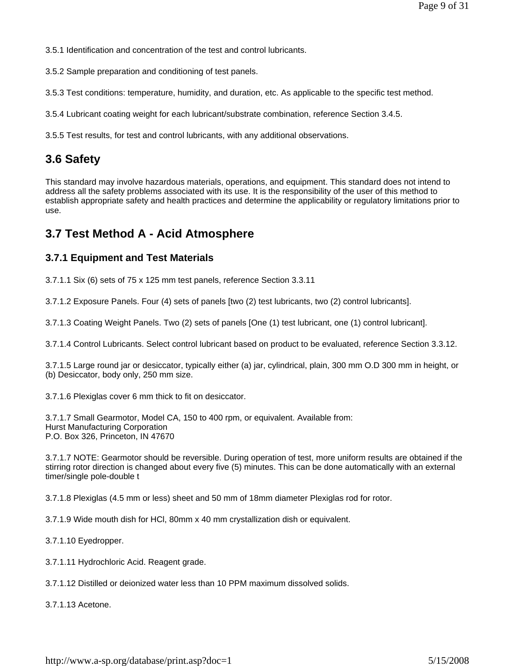3.5.1 Identification and concentration of the test and control lubricants.

3.5.2 Sample preparation and conditioning of test panels.

3.5.3 Test conditions: temperature, humidity, and duration, etc. As applicable to the specific test method.

3.5.4 Lubricant coating weight for each lubricant/substrate combination, reference Section 3.4.5.

3.5.5 Test results, for test and control lubricants, with any additional observations.

### **3.6 Safety**

This standard may involve hazardous materials, operations, and equipment. This standard does not intend to address all the safety problems associated with its use. It is the responsibility of the user of this method to establish appropriate safety and health practices and determine the applicability or regulatory limitations prior to use.

### **3.7 Test Method A - Acid Atmosphere**

#### **3.7.1 Equipment and Test Materials**

3.7.1.1 Six (6) sets of 75 x 125 mm test panels, reference Section 3.3.11

3.7.1.2 Exposure Panels. Four (4) sets of panels [two (2) test lubricants, two (2) control lubricants].

3.7.1.3 Coating Weight Panels. Two (2) sets of panels [One (1) test lubricant, one (1) control lubricant].

3.7.1.4 Control Lubricants. Select control lubricant based on product to be evaluated, reference Section 3.3.12.

3.7.1.5 Large round jar or desiccator, typically either (a) jar, cylindrical, plain, 300 mm O.D 300 mm in height, or (b) Desiccator, body only, 250 mm size.

3.7.1.6 Plexiglas cover 6 mm thick to fit on desiccator.

3.7.1.7 Small Gearmotor, Model CA, 150 to 400 rpm, or equivalent. Available from: Hurst Manufacturing Corporation P.O. Box 326, Princeton, IN 47670

3.7.1.7 NOTE: Gearmotor should be reversible. During operation of test, more uniform results are obtained if the stirring rotor direction is changed about every five (5) minutes. This can be done automatically with an external timer/single pole-double t

3.7.1.8 Plexiglas (4.5 mm or less) sheet and 50 mm of 18mm diameter Plexiglas rod for rotor.

3.7.1.9 Wide mouth dish for HCl, 80mm x 40 mm crystallization dish or equivalent.

3.7.1.10 Eyedropper.

3.7.1.11 Hydrochloric Acid. Reagent grade.

3.7.1.12 Distilled or deionized water less than 10 PPM maximum dissolved solids.

3.7.1.13 Acetone.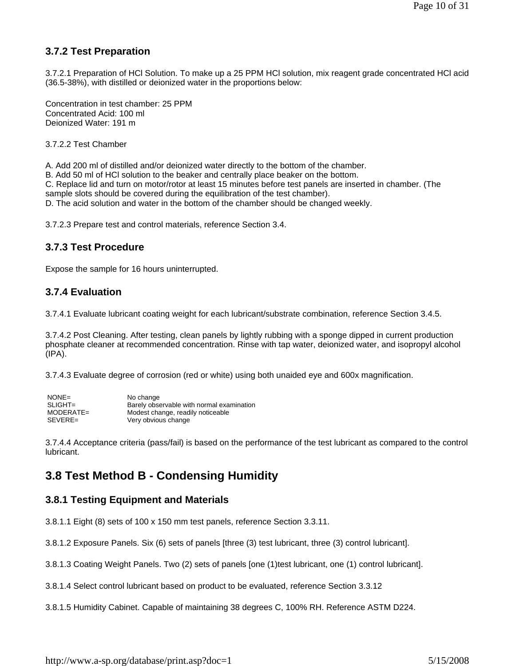### **3.7.2 Test Preparation**

3.7.2.1 Preparation of HCl Solution. To make up a 25 PPM HCl solution, mix reagent grade concentrated HCl acid (36.5-38%), with distilled or deionized water in the proportions below:

Concentration in test chamber: 25 PPM Concentrated Acid: 100 ml Deionized Water: 191 m

3.7.2.2 Test Chamber

A. Add 200 ml of distilled and/or deionized water directly to the bottom of the chamber.

B. Add 50 ml of HCl solution to the beaker and centrally place beaker on the bottom.

C. Replace lid and turn on motor/rotor at least 15 minutes before test panels are inserted in chamber. (The

sample slots should be covered during the equilibration of the test chamber).

D. The acid solution and water in the bottom of the chamber should be changed weekly.

3.7.2.3 Prepare test and control materials, reference Section 3.4.

#### **3.7.3 Test Procedure**

Expose the sample for 16 hours uninterrupted.

#### **3.7.4 Evaluation**

3.7.4.1 Evaluate lubricant coating weight for each lubricant/substrate combination, reference Section 3.4.5.

3.7.4.2 Post Cleaning. After testing, clean panels by lightly rubbing with a sponge dipped in current production phosphate cleaner at recommended concentration. Rinse with tap water, deionized water, and isopropyl alcohol (IPA).

3.7.4.3 Evaluate degree of corrosion (red or white) using both unaided eye and 600x magnification.

| $NONE =$    | No change                                 |
|-------------|-------------------------------------------|
| $SLIGHT =$  | Barely observable with normal examination |
| $MODERATE=$ | Modest change, readily noticeable         |
| SEVERE=     | Very obvious change                       |

3.7.4.4 Acceptance criteria (pass/fail) is based on the performance of the test lubricant as compared to the control lubricant.

# **3.8 Test Method B - Condensing Humidity**

#### **3.8.1 Testing Equipment and Materials**

3.8.1.1 Eight (8) sets of 100 x 150 mm test panels, reference Section 3.3.11.

3.8.1.2 Exposure Panels. Six (6) sets of panels [three (3) test lubricant, three (3) control lubricant].

3.8.1.3 Coating Weight Panels. Two (2) sets of panels [one (1)test lubricant, one (1) control lubricant].

3.8.1.4 Select control lubricant based on product to be evaluated, reference Section 3.3.12

3.8.1.5 Humidity Cabinet. Capable of maintaining 38 degrees C, 100% RH. Reference ASTM D224.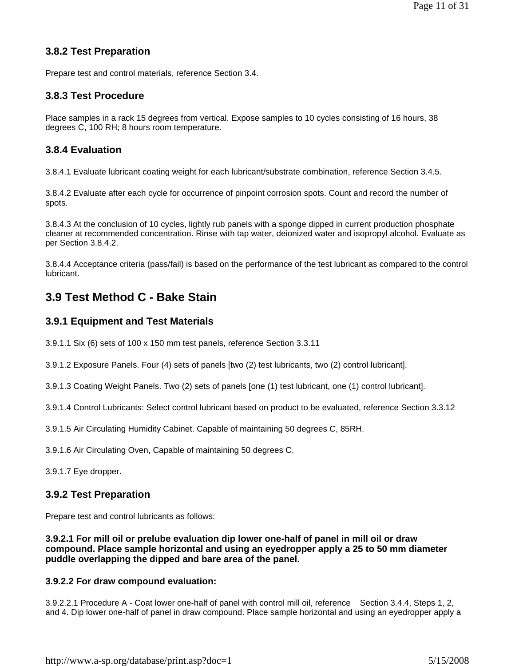### **3.8.2 Test Preparation**

Prepare test and control materials, reference Section 3.4.

#### **3.8.3 Test Procedure**

Place samples in a rack 15 degrees from vertical. Expose samples to 10 cycles consisting of 16 hours, 38 degrees C, 100 RH; 8 hours room temperature.

### **3.8.4 Evaluation**

3.8.4.1 Evaluate lubricant coating weight for each lubricant/substrate combination, reference Section 3.4.5.

3.8.4.2 Evaluate after each cycle for occurrence of pinpoint corrosion spots. Count and record the number of spots.

3.8.4.3 At the conclusion of 10 cycles, lightly rub panels with a sponge dipped in current production phosphate cleaner at recommended concentration. Rinse with tap water, deionized water and isopropyl alcohol. Evaluate as per Section 3.8.4.2.

3.8.4.4 Acceptance criteria (pass/fail) is based on the performance of the test lubricant as compared to the control lubricant.

### **3.9 Test Method C - Bake Stain**

#### **3.9.1 Equipment and Test Materials**

3.9.1.1 Six (6) sets of 100 x 150 mm test panels, reference Section 3.3.11

3.9.1.2 Exposure Panels. Four (4) sets of panels [two (2) test lubricants, two (2) control lubricant].

3.9.1.3 Coating Weight Panels. Two (2) sets of panels [one (1) test lubricant, one (1) control lubricant].

3.9.1.4 Control Lubricants: Select control lubricant based on product to be evaluated, reference Section 3.3.12

3.9.1.5 Air Circulating Humidity Cabinet. Capable of maintaining 50 degrees C, 85RH.

3.9.1.6 Air Circulating Oven, Capable of maintaining 50 degrees C.

3.9.1.7 Eye dropper.

#### **3.9.2 Test Preparation**

Prepare test and control lubricants as follows:

**3.9.2.1 For mill oil or prelube evaluation dip lower one-half of panel in mill oil or draw compound. Place sample horizontal and using an eyedropper apply a 25 to 50 mm diameter puddle overlapping the dipped and bare area of the panel.** 

#### **3.9.2.2 For draw compound evaluation:**

3.9.2.2.1 Procedure A - Coat lower one-half of panel with control mill oil, reference Section 3.4.4, Steps 1, 2, and 4. Dip lower one-half of panel in draw compound. Place sample horizontal and using an eyedropper apply a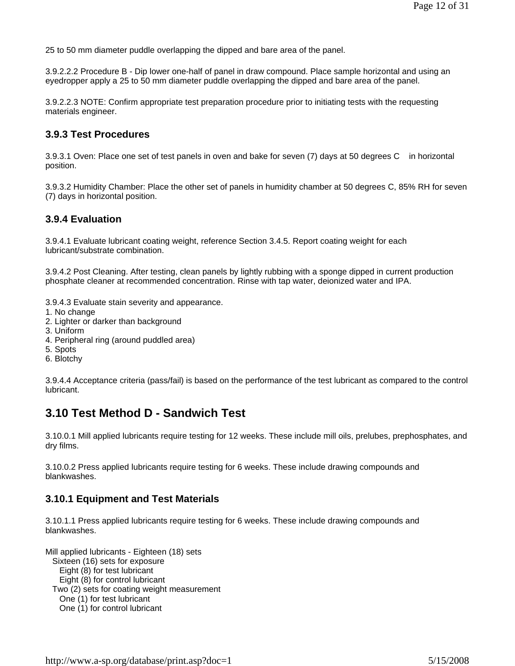25 to 50 mm diameter puddle overlapping the dipped and bare area of the panel.

3.9.2.2.2 Procedure B - Dip lower one-half of panel in draw compound. Place sample horizontal and using an eyedropper apply a 25 to 50 mm diameter puddle overlapping the dipped and bare area of the panel.

3.9.2.2.3 NOTE: Confirm appropriate test preparation procedure prior to initiating tests with the requesting materials engineer.

#### **3.9.3 Test Procedures**

3.9.3.1 Oven: Place one set of test panels in oven and bake for seven (7) days at 50 degrees C in horizontal position.

3.9.3.2 Humidity Chamber: Place the other set of panels in humidity chamber at 50 degrees C, 85% RH for seven (7) days in horizontal position.

#### **3.9.4 Evaluation**

3.9.4.1 Evaluate lubricant coating weight, reference Section 3.4.5. Report coating weight for each lubricant/substrate combination.

3.9.4.2 Post Cleaning. After testing, clean panels by lightly rubbing with a sponge dipped in current production phosphate cleaner at recommended concentration. Rinse with tap water, deionized water and IPA.

3.9.4.3 Evaluate stain severity and appearance.

- 1. No change
- 2. Lighter or darker than background
- 3. Uniform
- 4. Peripheral ring (around puddled area)
- 5. Spots
- 6. Blotchy

3.9.4.4 Acceptance criteria (pass/fail) is based on the performance of the test lubricant as compared to the control lubricant.

### **3.10 Test Method D - Sandwich Test**

3.10.0.1 Mill applied lubricants require testing for 12 weeks. These include mill oils, prelubes, prephosphates, and dry films.

3.10.0.2 Press applied lubricants require testing for 6 weeks. These include drawing compounds and blankwashes.

#### **3.10.1 Equipment and Test Materials**

3.10.1.1 Press applied lubricants require testing for 6 weeks. These include drawing compounds and blankwashes.

Mill applied lubricants - Eighteen (18) sets Sixteen (16) sets for exposure Eight (8) for test lubricant Eight (8) for control lubricant Two (2) sets for coating weight measurement One (1) for test lubricant One (1) for control lubricant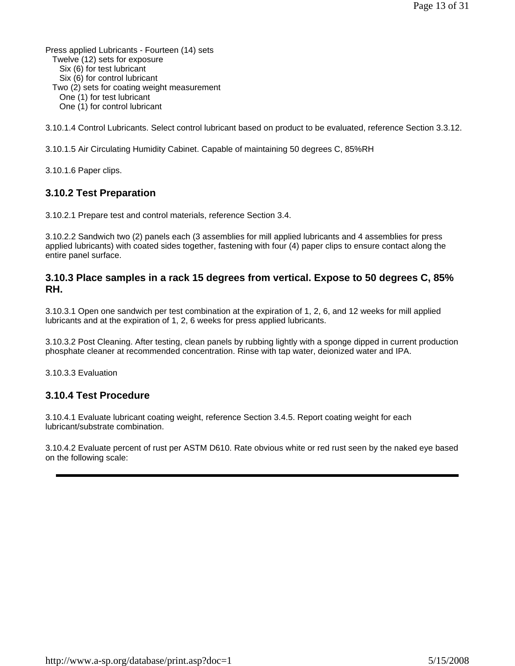Press applied Lubricants - Fourteen (14) sets Twelve (12) sets for exposure Six (6) for test lubricant Six (6) for control lubricant Two (2) sets for coating weight measurement One (1) for test lubricant One (1) for control lubricant

3.10.1.4 Control Lubricants. Select control lubricant based on product to be evaluated, reference Section 3.3.12.

3.10.1.5 Air Circulating Humidity Cabinet. Capable of maintaining 50 degrees C, 85%RH

3.10.1.6 Paper clips.

#### **3.10.2 Test Preparation**

3.10.2.1 Prepare test and control materials, reference Section 3.4.

3.10.2.2 Sandwich two (2) panels each (3 assemblies for mill applied lubricants and 4 assemblies for press applied lubricants) with coated sides together, fastening with four (4) paper clips to ensure contact along the entire panel surface.

#### **3.10.3 Place samples in a rack 15 degrees from vertical. Expose to 50 degrees C, 85% RH.**

3.10.3.1 Open one sandwich per test combination at the expiration of 1, 2, 6, and 12 weeks for mill applied lubricants and at the expiration of 1, 2, 6 weeks for press applied lubricants.

3.10.3.2 Post Cleaning. After testing, clean panels by rubbing lightly with a sponge dipped in current production phosphate cleaner at recommended concentration. Rinse with tap water, deionized water and IPA.

3.10.3.3 Evaluation

#### **3.10.4 Test Procedure**

3.10.4.1 Evaluate lubricant coating weight, reference Section 3.4.5. Report coating weight for each lubricant/substrate combination.

3.10.4.2 Evaluate percent of rust per ASTM D610. Rate obvious white or red rust seen by the naked eye based on the following scale: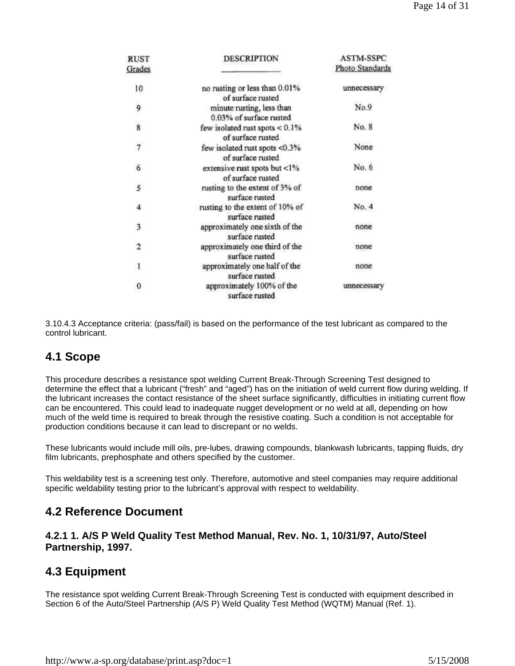| <b>RUST</b><br>Grades   | <b>DESCRIPTION</b>                                     | <b>ASTM-SSPC</b><br>Photo Standards |
|-------------------------|--------------------------------------------------------|-------------------------------------|
| 10                      | no rusting or less than 0.01%<br>of surface rusted     | unnecessary                         |
| 9                       | minute rusting, less than<br>0.03% of surface rusted   | No.9                                |
| $\overline{\mathbf{8}}$ | few isolated rust spots $< 0.1\%$<br>of surface rusted | No. 8                               |
| $\overline{7}$          | few isolated rust spots <0.3%<br>of surface rusted     | None                                |
| 6                       | extensive rust spots but <1%<br>of surface rusted      | No. 6                               |
| 5                       | rusting to the extent of 3% of<br>surface rusted       | none                                |
| 4                       | rusting to the extent of 10% of<br>surface rusted      | No. 4                               |
| 3                       | approximately one sixth of the<br>surface rusted       | none                                |
| $\overline{\mathbf{2}}$ | approximately one third of the<br>surface rusted       | none                                |
| 1                       | approximately one half of the<br>surface rusted        | none                                |
| $\theta$                | approximately 100% of the<br>surface rusted            | unnecessary                         |

3.10.4.3 Acceptance criteria: (pass/fail) is based on the performance of the test lubricant as compared to the control lubricant.

### **4.1 Scope**

This procedure describes a resistance spot welding Current Break-Through Screening Test designed to determine the effect that a lubricant ("fresh" and "aged") has on the initiation of weld current flow during welding. If the lubricant increases the contact resistance of the sheet surface significantly, difficulties in initiating current flow can be encountered. This could lead to inadequate nugget development or no weld at all, depending on how much of the weld time is required to break through the resistive coating. Such a condition is not acceptable for production conditions because it can lead to discrepant or no welds.

These lubricants would include mill oils, pre-lubes, drawing compounds, blankwash lubricants, tapping fluids, dry film lubricants, prephosphate and others specified by the customer.

This weldability test is a screening test only. Therefore, automotive and steel companies may require additional specific weldability testing prior to the lubricant's approval with respect to weldability.

### **4.2 Reference Document**

#### **4.2.1 1. A/S P Weld Quality Test Method Manual, Rev. No. 1, 10/31/97, Auto/Steel Partnership, 1997.**

### **4.3 Equipment**

The resistance spot welding Current Break-Through Screening Test is conducted with equipment described in Section 6 of the Auto/Steel Partnership (A/S P) Weld Quality Test Method (WQTM) Manual (Ref. 1).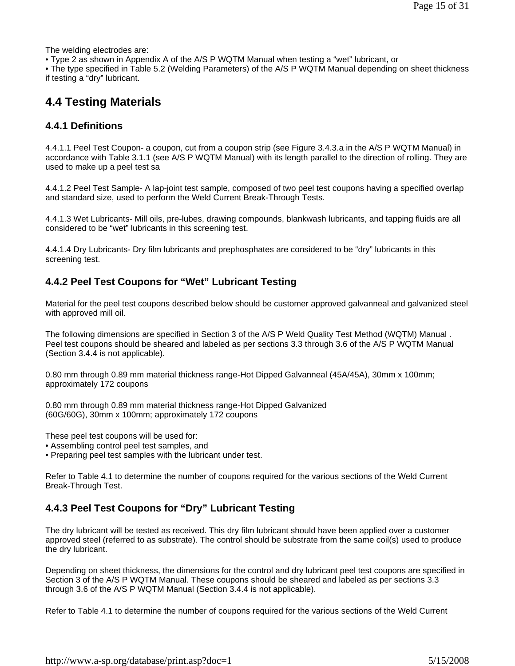The welding electrodes are:

• Type 2 as shown in Appendix A of the A/S P WQTM Manual when testing a "wet" lubricant, or

• The type specified in Table 5.2 (Welding Parameters) of the A/S P WQTM Manual depending on sheet thickness if testing a "dry" lubricant.

### **4.4 Testing Materials**

#### **4.4.1 Definitions**

4.4.1.1 Peel Test Coupon- a coupon, cut from a coupon strip (see Figure 3.4.3.a in the A/S P WQTM Manual) in accordance with Table 3.1.1 (see A/S P WQTM Manual) with its length parallel to the direction of rolling. They are used to make up a peel test sa

4.4.1.2 Peel Test Sample- A lap-joint test sample, composed of two peel test coupons having a specified overlap and standard size, used to perform the Weld Current Break-Through Tests.

4.4.1.3 Wet Lubricants- Mill oils, pre-lubes, drawing compounds, blankwash lubricants, and tapping fluids are all considered to be "wet" lubricants in this screening test.

4.4.1.4 Dry Lubricants- Dry film lubricants and prephosphates are considered to be "dry" lubricants in this screening test.

#### **4.4.2 Peel Test Coupons for "Wet" Lubricant Testing**

Material for the peel test coupons described below should be customer approved galvanneal and galvanized steel with approved mill oil.

The following dimensions are specified in Section 3 of the A/S P Weld Quality Test Method (WQTM) Manual . Peel test coupons should be sheared and labeled as per sections 3.3 through 3.6 of the A/S P WQTM Manual (Section 3.4.4 is not applicable).

0.80 mm through 0.89 mm material thickness range-Hot Dipped Galvanneal (45A/45A), 30mm x 100mm; approximately 172 coupons

0.80 mm through 0.89 mm material thickness range-Hot Dipped Galvanized (60G/60G), 30mm x 100mm; approximately 172 coupons

These peel test coupons will be used for:

- Assembling control peel test samples, and
- Preparing peel test samples with the lubricant under test.

Refer to Table 4.1 to determine the number of coupons required for the various sections of the Weld Current Break-Through Test.

### **4.4.3 Peel Test Coupons for "Dry" Lubricant Testing**

The dry lubricant will be tested as received. This dry film lubricant should have been applied over a customer approved steel (referred to as substrate). The control should be substrate from the same coil(s) used to produce the dry lubricant.

Depending on sheet thickness, the dimensions for the control and dry lubricant peel test coupons are specified in Section 3 of the A/S P WQTM Manual. These coupons should be sheared and labeled as per sections 3.3 through 3.6 of the A/S P WQTM Manual (Section 3.4.4 is not applicable).

Refer to Table 4.1 to determine the number of coupons required for the various sections of the Weld Current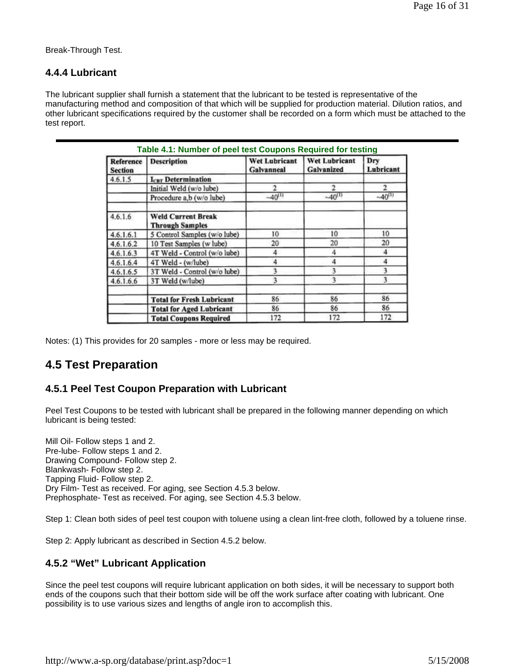Break-Through Test.

#### **4.4.4 Lubricant**

The lubricant supplier shall furnish a statement that the lubricant to be tested is representative of the manufacturing method and composition of that which will be supplied for production material. Dilution ratios, and other lubricant specifications required by the customer shall be recorded on a form which must be attached to the test report.

| <b>Reference</b><br><b>Section</b> | <b>Description</b>                                  | <b>Wet Lubricant</b><br>Galvanneal | Wet Lubricant<br>Galvanized | Dry<br>Lubricant |
|------------------------------------|-----------------------------------------------------|------------------------------------|-----------------------------|------------------|
| 4.6.1.5                            | <b>ICBT</b> Determination                           |                                    |                             |                  |
|                                    | Initial Weld (w/o lube)                             | 2                                  |                             |                  |
|                                    | Procedure a,b (w/o lube)                            | $-40^{(1)}$                        | $-40^{(1)}$                 | $-40^{(1)}$      |
| 4.6.1.6                            | <b>Weld Current Break</b><br><b>Through Samples</b> |                                    |                             |                  |
| 4.6.1.6.1                          | 5 Control Samples (w/o lube)                        | 10                                 | 10                          | 10               |
| 4.6.1.6.2                          | 10 Test Samples (w lube)                            | 20                                 | 20                          | 20               |
| 4,6,1,6,3                          | 4T Weld - Control (w/o lube)                        | 4                                  | 4                           |                  |
| 4.6.1.6.4                          | 4T Weld - (w/lube)                                  | 4                                  | 4                           |                  |
| 4.6.1.6.5                          | 3T Weld - Control (w/o lube)                        | 3                                  | ٩                           |                  |
| 4.6.1.6.6                          | 3T Weld (w/lube)                                    | 3                                  | ٩                           | 3                |
|                                    | <b>Total for Fresh Lubricant</b>                    | 86                                 | 86                          | 86               |
|                                    | <b>Total for Aged Lubricant</b>                     | 86                                 | 86                          | 86               |
|                                    | <b>Total Coupons Required</b>                       | 172                                | 172                         | 172              |

Notes: (1) This provides for 20 samples - more or less may be required.

# **4.5 Test Preparation**

### **4.5.1 Peel Test Coupon Preparation with Lubricant**

Peel Test Coupons to be tested with lubricant shall be prepared in the following manner depending on which lubricant is being tested:

Mill Oil- Follow steps 1 and 2. Pre-lube- Follow steps 1 and 2. Drawing Compound- Follow step 2. Blankwash- Follow step 2. Tapping Fluid- Follow step 2. Dry Film- Test as received. For aging, see Section 4.5.3 below. Prephosphate- Test as received. For aging, see Section 4.5.3 below.

Step 1: Clean both sides of peel test coupon with toluene using a clean lint-free cloth, followed by a toluene rinse.

Step 2: Apply lubricant as described in Section 4.5.2 below.

### **4.5.2 "Wet" Lubricant Application**

Since the peel test coupons will require lubricant application on both sides, it will be necessary to support both ends of the coupons such that their bottom side will be off the work surface after coating with lubricant. One possibility is to use various sizes and lengths of angle iron to accomplish this.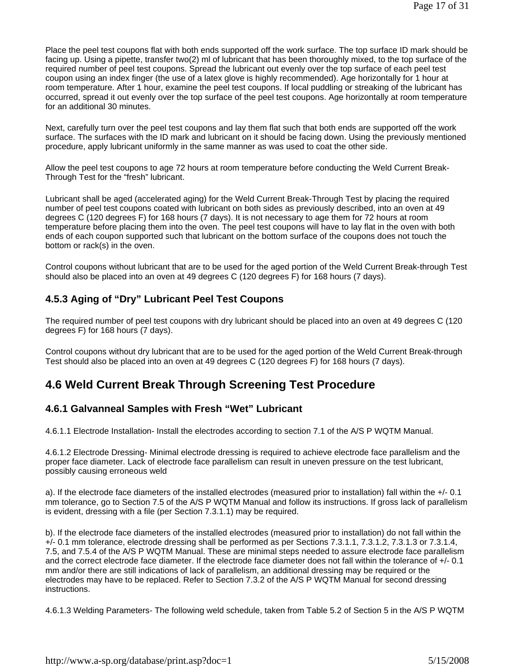Place the peel test coupons flat with both ends supported off the work surface. The top surface ID mark should be facing up. Using a pipette, transfer two(2) ml of lubricant that has been thoroughly mixed, to the top surface of the required number of peel test coupons. Spread the lubricant out evenly over the top surface of each peel test coupon using an index finger (the use of a latex glove is highly recommended). Age horizontally for 1 hour at room temperature. After 1 hour, examine the peel test coupons. If local puddling or streaking of the lubricant has occurred, spread it out evenly over the top surface of the peel test coupons. Age horizontally at room temperature for an additional 30 minutes.

Next, carefully turn over the peel test coupons and lay them flat such that both ends are supported off the work surface. The surfaces with the ID mark and lubricant on it should be facing down. Using the previously mentioned procedure, apply lubricant uniformly in the same manner as was used to coat the other side.

Allow the peel test coupons to age 72 hours at room temperature before conducting the Weld Current Break-Through Test for the "fresh" lubricant.

Lubricant shall be aged (accelerated aging) for the Weld Current Break-Through Test by placing the required number of peel test coupons coated with lubricant on both sides as previously described, into an oven at 49 degrees C (120 degrees F) for 168 hours (7 days). It is not necessary to age them for 72 hours at room temperature before placing them into the oven. The peel test coupons will have to lay flat in the oven with both ends of each coupon supported such that lubricant on the bottom surface of the coupons does not touch the bottom or rack(s) in the oven.

Control coupons without lubricant that are to be used for the aged portion of the Weld Current Break-through Test should also be placed into an oven at 49 degrees C (120 degrees F) for 168 hours (7 days).

### **4.5.3 Aging of "Dry" Lubricant Peel Test Coupons**

The required number of peel test coupons with dry lubricant should be placed into an oven at 49 degrees C (120 degrees F) for 168 hours (7 days).

Control coupons without dry lubricant that are to be used for the aged portion of the Weld Current Break-through Test should also be placed into an oven at 49 degrees C (120 degrees F) for 168 hours (7 days).

# **4.6 Weld Current Break Through Screening Test Procedure**

### **4.6.1 Galvanneal Samples with Fresh "Wet" Lubricant**

4.6.1.1 Electrode Installation- Install the electrodes according to section 7.1 of the A/S P WQTM Manual.

4.6.1.2 Electrode Dressing- Minimal electrode dressing is required to achieve electrode face parallelism and the proper face diameter. Lack of electrode face parallelism can result in uneven pressure on the test lubricant, possibly causing erroneous weld

a). If the electrode face diameters of the installed electrodes (measured prior to installation) fall within the +/- 0.1 mm tolerance, go to Section 7.5 of the A/S P WQTM Manual and follow its instructions. If gross lack of parallelism is evident, dressing with a file (per Section 7.3.1.1) may be required.

b). If the electrode face diameters of the installed electrodes (measured prior to installation) do not fall within the +/- 0.1 mm tolerance, electrode dressing shall be performed as per Sections 7.3.1.1, 7.3.1.2, 7.3.1.3 or 7.3.1.4, 7.5, and 7.5.4 of the A/S P WQTM Manual. These are minimal steps needed to assure electrode face parallelism and the correct electrode face diameter. If the electrode face diameter does not fall within the tolerance of +/- 0.1 mm and/or there are still indications of lack of parallelism, an additional dressing may be required or the electrodes may have to be replaced. Refer to Section 7.3.2 of the A/S P WQTM Manual for second dressing instructions.

4.6.1.3 Welding Parameters- The following weld schedule, taken from Table 5.2 of Section 5 in the A/S P WQTM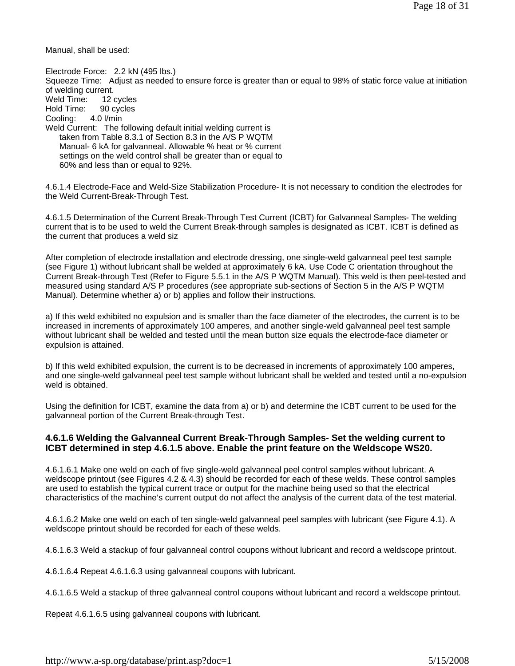Manual, shall be used:

Electrode Force: 2.2 kN (495 lbs.) Squeeze Time: Adjust as needed to ensure force is greater than or equal to 98% of static force value at initiation of welding current. Weld Time: 12 cycles Hold Time: 90 cycles Cooling: 4.0 l/min Weld Current: The following default initial welding current is taken from Table 8.3.1 of Section 8.3 in the A/S P WQTM Manual- 6 kA for galvanneal. Allowable % heat or % current settings on the weld control shall be greater than or equal to 60% and less than or equal to 92%.

4.6.1.4 Electrode-Face and Weld-Size Stabilization Procedure- It is not necessary to condition the electrodes for the Weld Current-Break-Through Test.

4.6.1.5 Determination of the Current Break-Through Test Current (ICBT) for Galvanneal Samples- The welding current that is to be used to weld the Current Break-through samples is designated as ICBT. ICBT is defined as the current that produces a weld siz

After completion of electrode installation and electrode dressing, one single-weld galvanneal peel test sample (see Figure 1) without lubricant shall be welded at approximately 6 kA. Use Code C orientation throughout the Current Break-through Test (Refer to Figure 5.5.1 in the A/S P WQTM Manual). This weld is then peel-tested and measured using standard A/S P procedures (see appropriate sub-sections of Section 5 in the A/S P WQTM Manual). Determine whether a) or b) applies and follow their instructions.

a) If this weld exhibited no expulsion and is smaller than the face diameter of the electrodes, the current is to be increased in increments of approximately 100 amperes, and another single-weld galvanneal peel test sample without lubricant shall be welded and tested until the mean button size equals the electrode-face diameter or expulsion is attained.

b) If this weld exhibited expulsion, the current is to be decreased in increments of approximately 100 amperes, and one single-weld galvanneal peel test sample without lubricant shall be welded and tested until a no-expulsion weld is obtained.

Using the definition for ICBT, examine the data from a) or b) and determine the ICBT current to be used for the galvanneal portion of the Current Break-through Test.

#### **4.6.1.6 Welding the Galvanneal Current Break-Through Samples- Set the welding current to ICBT determined in step 4.6.1.5 above. Enable the print feature on the Weldscope WS20.**

4.6.1.6.1 Make one weld on each of five single-weld galvanneal peel control samples without lubricant. A weldscope printout (see Figures 4.2 & 4.3) should be recorded for each of these welds. These control samples are used to establish the typical current trace or output for the machine being used so that the electrical characteristics of the machine's current output do not affect the analysis of the current data of the test material.

4.6.1.6.2 Make one weld on each of ten single-weld galvanneal peel samples with lubricant (see Figure 4.1). A weldscope printout should be recorded for each of these welds.

4.6.1.6.3 Weld a stackup of four galvanneal control coupons without lubricant and record a weldscope printout.

4.6.1.6.4 Repeat 4.6.1.6.3 using galvanneal coupons with lubricant.

4.6.1.6.5 Weld a stackup of three galvanneal control coupons without lubricant and record a weldscope printout.

Repeat 4.6.1.6.5 using galvanneal coupons with lubricant.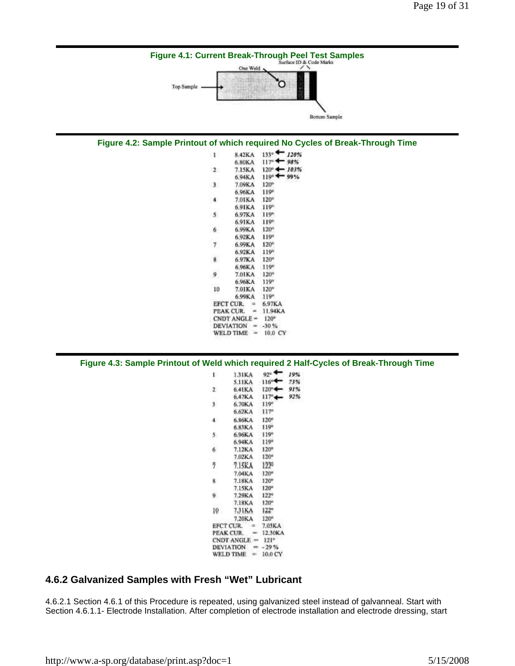

#### 6 7.02KA  $120°$  $\overline{\overline{2}}$ 7.15KA 1229 7.04KA  $120^o$ 8 7.18KA 120° 7.15KA  $120°$ 9 7.29KA  $122°$ 7.18KA  $120°$  $122^{\circ}$  $10$ 7.31KA 7.20KA  $120°$ EFCT CUR. ್ಲ 7.03KA 12,30KA PEAK CUR. ٠ CNDT ANGLE =  $121^\circ$ DEVIATION =  $-29\%$ WELD TIME =  $10.0$  CY

#### **4.6.2 Galvanized Samples with Fresh "Wet" Lubricant**

4.6.2.1 Section 4.6.1 of this Procedure is repeated, using galvanized steel instead of galvanneal. Start with Section 4.6.1.1- Electrode Installation. After completion of electrode installation and electrode dressing, start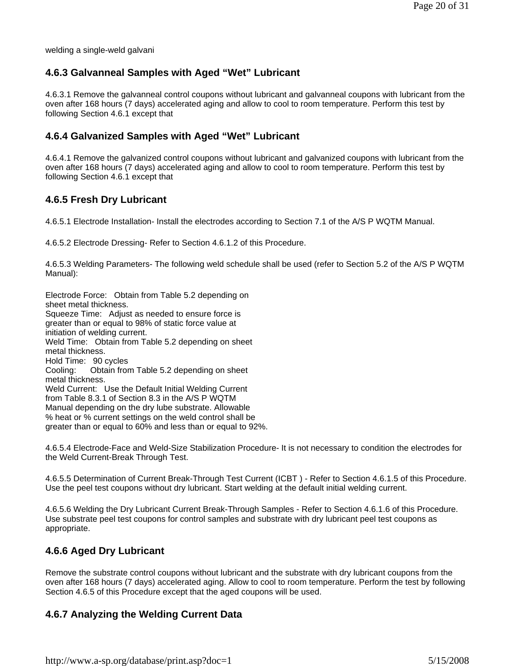welding a single-weld galvani

### **4.6.3 Galvanneal Samples with Aged "Wet" Lubricant**

4.6.3.1 Remove the galvanneal control coupons without lubricant and galvanneal coupons with lubricant from the oven after 168 hours (7 days) accelerated aging and allow to cool to room temperature. Perform this test by following Section 4.6.1 except that

#### **4.6.4 Galvanized Samples with Aged "Wet" Lubricant**

4.6.4.1 Remove the galvanized control coupons without lubricant and galvanized coupons with lubricant from the oven after 168 hours (7 days) accelerated aging and allow to cool to room temperature. Perform this test by following Section 4.6.1 except that

#### **4.6.5 Fresh Dry Lubricant**

4.6.5.1 Electrode Installation- Install the electrodes according to Section 7.1 of the A/S P WQTM Manual.

4.6.5.2 Electrode Dressing- Refer to Section 4.6.1.2 of this Procedure.

4.6.5.3 Welding Parameters- The following weld schedule shall be used (refer to Section 5.2 of the A/S P WQTM Manual):

Electrode Force: Obtain from Table 5.2 depending on sheet metal thickness. Squeeze Time: Adjust as needed to ensure force is greater than or equal to 98% of static force value at initiation of welding current. Weld Time: Obtain from Table 5.2 depending on sheet metal thickness. Hold Time: 90 cycles Cooling: Obtain from Table 5.2 depending on sheet metal thickness. Weld Current: Use the Default Initial Welding Current from Table 8.3.1 of Section 8.3 in the A/S P WQTM Manual depending on the dry lube substrate. Allowable % heat or % current settings on the weld control shall be greater than or equal to 60% and less than or equal to 92%.

4.6.5.4 Electrode-Face and Weld-Size Stabilization Procedure- It is not necessary to condition the electrodes for the Weld Current-Break Through Test.

4.6.5.5 Determination of Current Break-Through Test Current (ICBT ) - Refer to Section 4.6.1.5 of this Procedure. Use the peel test coupons without dry lubricant. Start welding at the default initial welding current.

4.6.5.6 Welding the Dry Lubricant Current Break-Through Samples - Refer to Section 4.6.1.6 of this Procedure. Use substrate peel test coupons for control samples and substrate with dry lubricant peel test coupons as appropriate.

#### **4.6.6 Aged Dry Lubricant**

Remove the substrate control coupons without lubricant and the substrate with dry lubricant coupons from the oven after 168 hours (7 days) accelerated aging. Allow to cool to room temperature. Perform the test by following Section 4.6.5 of this Procedure except that the aged coupons will be used.

#### **4.6.7 Analyzing the Welding Current Data**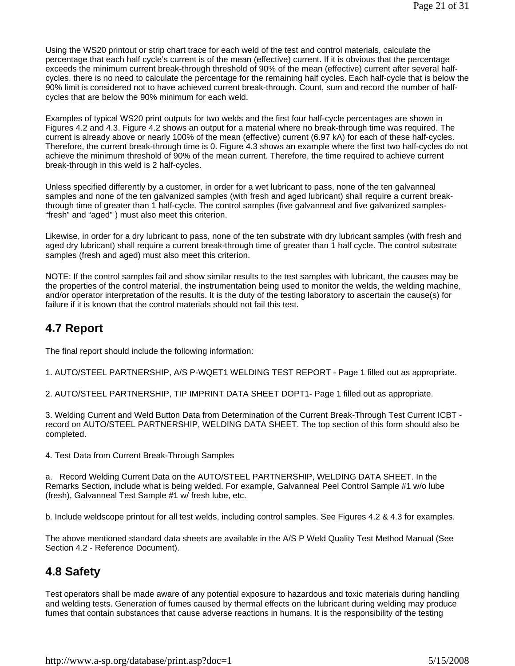Using the WS20 printout or strip chart trace for each weld of the test and control materials, calculate the percentage that each half cycle's current is of the mean (effective) current. If it is obvious that the percentage exceeds the minimum current break-through threshold of 90% of the mean (effective) current after several halfcycles, there is no need to calculate the percentage for the remaining half cycles. Each half-cycle that is below the 90% limit is considered not to have achieved current break-through. Count, sum and record the number of halfcycles that are below the 90% minimum for each weld.

Examples of typical WS20 print outputs for two welds and the first four half-cycle percentages are shown in Figures 4.2 and 4.3. Figure 4.2 shows an output for a material where no break-through time was required. The current is already above or nearly 100% of the mean (effective) current (6.97 kA) for each of these half-cycles. Therefore, the current break-through time is 0. Figure 4.3 shows an example where the first two half-cycles do not achieve the minimum threshold of 90% of the mean current. Therefore, the time required to achieve current break-through in this weld is 2 half-cycles.

Unless specified differently by a customer, in order for a wet lubricant to pass, none of the ten galvanneal samples and none of the ten galvanized samples (with fresh and aged lubricant) shall require a current breakthrough time of greater than 1 half-cycle. The control samples (five galvanneal and five galvanized samples- "fresh" and "aged" ) must also meet this criterion.

Likewise, in order for a dry lubricant to pass, none of the ten substrate with dry lubricant samples (with fresh and aged dry lubricant) shall require a current break-through time of greater than 1 half cycle. The control substrate samples (fresh and aged) must also meet this criterion.

NOTE: If the control samples fail and show similar results to the test samples with lubricant, the causes may be the properties of the control material, the instrumentation being used to monitor the welds, the welding machine, and/or operator interpretation of the results. It is the duty of the testing laboratory to ascertain the cause(s) for failure if it is known that the control materials should not fail this test.

### **4.7 Report**

The final report should include the following information:

1. AUTO/STEEL PARTNERSHIP, A/S P-WQET1 WELDING TEST REPORT - Page 1 filled out as appropriate.

2. AUTO/STEEL PARTNERSHIP, TIP IMPRINT DATA SHEET DOPT1- Page 1 filled out as appropriate.

3. Welding Current and Weld Button Data from Determination of the Current Break-Through Test Current ICBT record on AUTO/STEEL PARTNERSHIP, WELDING DATA SHEET. The top section of this form should also be completed.

4. Test Data from Current Break-Through Samples

a. Record Welding Current Data on the AUTO/STEEL PARTNERSHIP, WELDING DATA SHEET. In the Remarks Section, include what is being welded. For example, Galvanneal Peel Control Sample #1 w/o lube (fresh), Galvanneal Test Sample #1 w/ fresh lube, etc.

b. Include weldscope printout for all test welds, including control samples. See Figures 4.2 & 4.3 for examples.

The above mentioned standard data sheets are available in the A/S P Weld Quality Test Method Manual (See Section 4.2 - Reference Document).

# **4.8 Safety**

Test operators shall be made aware of any potential exposure to hazardous and toxic materials during handling and welding tests. Generation of fumes caused by thermal effects on the lubricant during welding may produce fumes that contain substances that cause adverse reactions in humans. It is the responsibility of the testing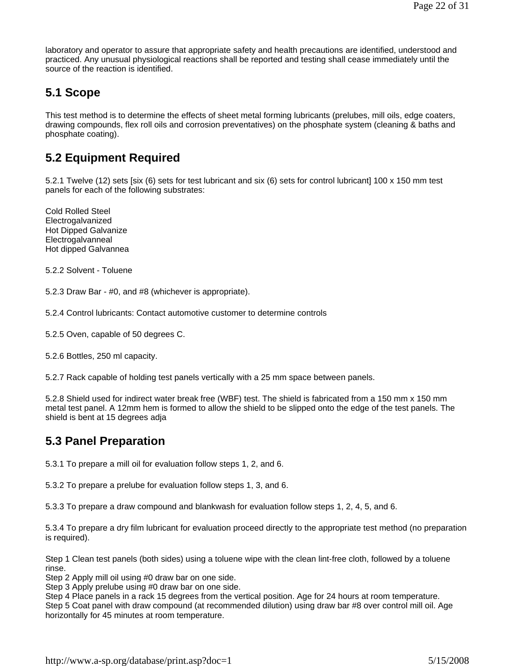laboratory and operator to assure that appropriate safety and health precautions are identified, understood and practiced. Any unusual physiological reactions shall be reported and testing shall cease immediately until the source of the reaction is identified.

### **5.1 Scope**

This test method is to determine the effects of sheet metal forming lubricants (prelubes, mill oils, edge coaters, drawing compounds, flex roll oils and corrosion preventatives) on the phosphate system (cleaning & baths and phosphate coating).

### **5.2 Equipment Required**

5.2.1 Twelve (12) sets [six (6) sets for test lubricant and six (6) sets for control lubricant] 100 x 150 mm test panels for each of the following substrates:

Cold Rolled Steel Electrogalvanized Hot Dipped Galvanize Electrogalvanneal Hot dipped Galvannea

5.2.2 Solvent - Toluene

5.2.3 Draw Bar - #0, and #8 (whichever is appropriate).

5.2.4 Control lubricants: Contact automotive customer to determine controls

5.2.5 Oven, capable of 50 degrees C.

5.2.6 Bottles, 250 ml capacity.

5.2.7 Rack capable of holding test panels vertically with a 25 mm space between panels.

5.2.8 Shield used for indirect water break free (WBF) test. The shield is fabricated from a 150 mm x 150 mm metal test panel. A 12mm hem is formed to allow the shield to be slipped onto the edge of the test panels. The shield is bent at 15 degrees adja

### **5.3 Panel Preparation**

5.3.1 To prepare a mill oil for evaluation follow steps 1, 2, and 6.

5.3.2 To prepare a prelube for evaluation follow steps 1, 3, and 6.

5.3.3 To prepare a draw compound and blankwash for evaluation follow steps 1, 2, 4, 5, and 6.

5.3.4 To prepare a dry film lubricant for evaluation proceed directly to the appropriate test method (no preparation is required).

Step 1 Clean test panels (both sides) using a toluene wipe with the clean lint-free cloth, followed by a toluene rinse.

Step 2 Apply mill oil using #0 draw bar on one side.

Step 3 Apply prelube using #0 draw bar on one side.

Step 4 Place panels in a rack 15 degrees from the vertical position. Age for 24 hours at room temperature. Step 5 Coat panel with draw compound (at recommended dilution) using draw bar #8 over control mill oil. Age horizontally for 45 minutes at room temperature.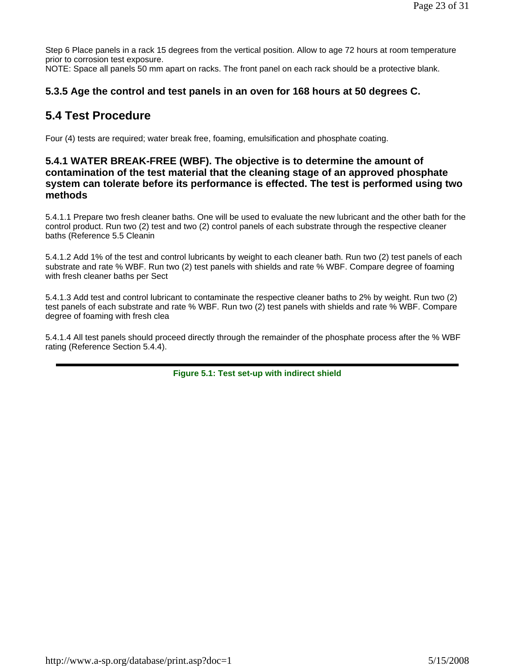Step 6 Place panels in a rack 15 degrees from the vertical position. Allow to age 72 hours at room temperature prior to corrosion test exposure.

NOTE: Space all panels 50 mm apart on racks. The front panel on each rack should be a protective blank.

### **5.3.5 Age the control and test panels in an oven for 168 hours at 50 degrees C.**

### **5.4 Test Procedure**

Four (4) tests are required; water break free, foaming, emulsification and phosphate coating.

### **5.4.1 WATER BREAK-FREE (WBF). The objective is to determine the amount of contamination of the test material that the cleaning stage of an approved phosphate system can tolerate before its performance is effected. The test is performed using two methods**

5.4.1.1 Prepare two fresh cleaner baths. One will be used to evaluate the new lubricant and the other bath for the control product. Run two (2) test and two (2) control panels of each substrate through the respective cleaner baths (Reference 5.5 Cleanin

5.4.1.2 Add 1% of the test and control lubricants by weight to each cleaner bath. Run two (2) test panels of each substrate and rate % WBF. Run two (2) test panels with shields and rate % WBF. Compare degree of foaming with fresh cleaner baths per Sect

5.4.1.3 Add test and control lubricant to contaminate the respective cleaner baths to 2% by weight. Run two (2) test panels of each substrate and rate % WBF. Run two (2) test panels with shields and rate % WBF. Compare degree of foaming with fresh clea

5.4.1.4 All test panels should proceed directly through the remainder of the phosphate process after the % WBF rating (Reference Section 5.4.4).

**Figure 5.1: Test set-up with indirect shield**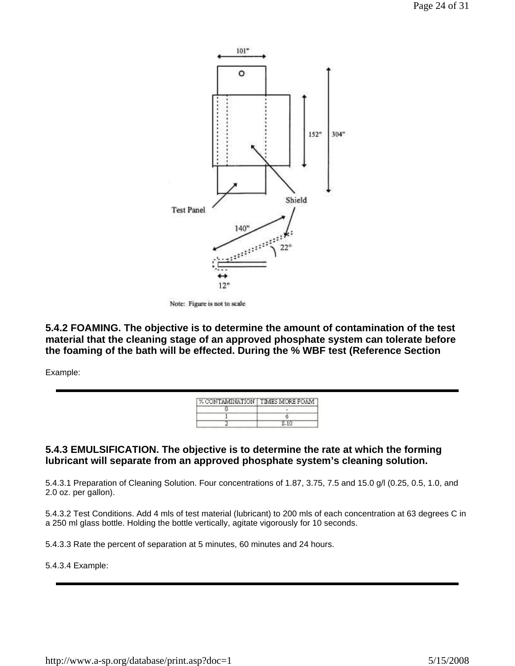

Note: Figure is not to scale

**5.4.2 FOAMING. The objective is to determine the amount of contamination of the test material that the cleaning stage of an approved phosphate system can tolerate before the foaming of the bath will be effected. During the % WBF test (Reference Section** 

Example:

| % CONTAMINATION   TIMES MORE FOAM |  |
|-----------------------------------|--|
|                                   |  |
|                                   |  |
|                                   |  |

#### **5.4.3 EMULSIFICATION. The objective is to determine the rate at which the forming lubricant will separate from an approved phosphate system's cleaning solution.**

5.4.3.1 Preparation of Cleaning Solution. Four concentrations of 1.87, 3.75, 7.5 and 15.0 g/l (0.25, 0.5, 1.0, and 2.0 oz. per gallon).

5.4.3.2 Test Conditions. Add 4 mls of test material (lubricant) to 200 mls of each concentration at 63 degrees C in a 250 ml glass bottle. Holding the bottle vertically, agitate vigorously for 10 seconds.

5.4.3.3 Rate the percent of separation at 5 minutes, 60 minutes and 24 hours.

#### 5.4.3.4 Example: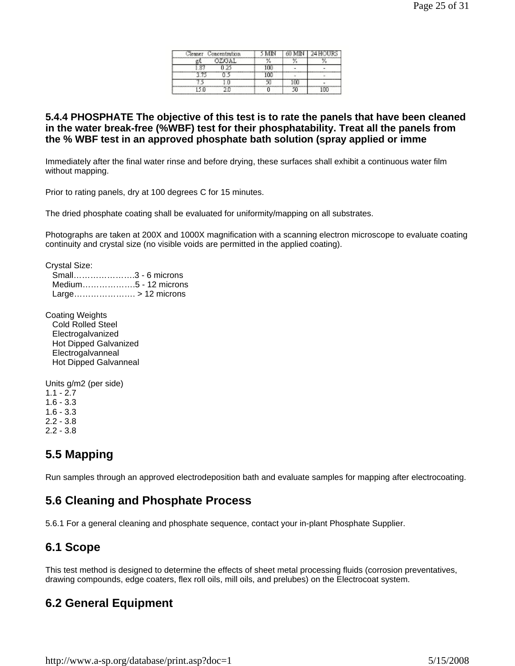| Concentration.<br>aner | MIN        | MIN    | ว.ศ. 146<br>HIR. |
|------------------------|------------|--------|------------------|
| OZGAL                  | 驭          | $\sim$ |                  |
|                        | 100        |        |                  |
|                        | $-$<br>100 |        |                  |
|                        | ۰.         |        |                  |
|                        |            | ٢n     | nn               |

#### **5.4.4 PHOSPHATE The objective of this test is to rate the panels that have been cleaned in the water break-free (%WBF) test for their phosphatability. Treat all the panels from the % WBF test in an approved phosphate bath solution (spray applied or imme**

Immediately after the final water rinse and before drying, these surfaces shall exhibit a continuous water film without mapping.

Prior to rating panels, dry at 100 degrees C for 15 minutes.

The dried phosphate coating shall be evaluated for uniformity/mapping on all substrates.

Photographs are taken at 200X and 1000X magnification with a scanning electron microscope to evaluate coating continuity and crystal size (no visible voids are permitted in the applied coating).

Crystal Size:

 Small………………….3 - 6 microns Medium……………….5 - 12 microns Large…………………. > 12 microns

Coating Weights Cold Rolled Steel Electrogalvanized Hot Dipped Galvanized Electrogalvanneal Hot Dipped Galvanneal

Units g/m2 (per side)  $1.1 - 2.7$ 1.6 - 3.3 1.6 - 3.3 2.2 - 3.8

2.2 - 3.8

# **5.5 Mapping**

Run samples through an approved electrodeposition bath and evaluate samples for mapping after electrocoating.

### **5.6 Cleaning and Phosphate Process**

5.6.1 For a general cleaning and phosphate sequence, contact your in-plant Phosphate Supplier.

### **6.1 Scope**

This test method is designed to determine the effects of sheet metal processing fluids (corrosion preventatives, drawing compounds, edge coaters, flex roll oils, mill oils, and prelubes) on the Electrocoat system.

### **6.2 General Equipment**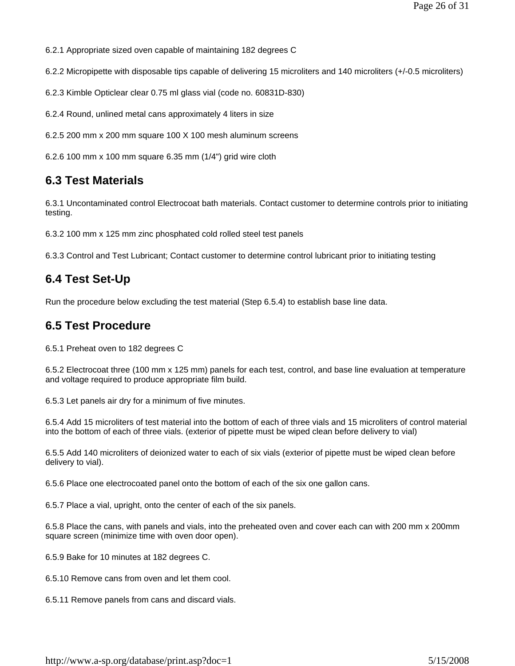6.2.1 Appropriate sized oven capable of maintaining 182 degrees C

6.2.2 Micropipette with disposable tips capable of delivering 15 microliters and 140 microliters (+/-0.5 microliters)

6.2.3 Kimble Opticlear clear 0.75 ml glass vial (code no. 60831D-830)

6.2.4 Round, unlined metal cans approximately 4 liters in size

6.2.5 200 mm x 200 mm square 100 X 100 mesh aluminum screens

6.2.6 100 mm x 100 mm square 6.35 mm (1/4") grid wire cloth

### **6.3 Test Materials**

6.3.1 Uncontaminated control Electrocoat bath materials. Contact customer to determine controls prior to initiating testing.

6.3.2 100 mm x 125 mm zinc phosphated cold rolled steel test panels

6.3.3 Control and Test Lubricant; Contact customer to determine control lubricant prior to initiating testing

### **6.4 Test Set-Up**

Run the procedure below excluding the test material (Step 6.5.4) to establish base line data.

### **6.5 Test Procedure**

6.5.1 Preheat oven to 182 degrees C

6.5.2 Electrocoat three (100 mm x 125 mm) panels for each test, control, and base line evaluation at temperature and voltage required to produce appropriate film build.

6.5.3 Let panels air dry for a minimum of five minutes.

6.5.4 Add 15 microliters of test material into the bottom of each of three vials and 15 microliters of control material into the bottom of each of three vials. (exterior of pipette must be wiped clean before delivery to vial)

6.5.5 Add 140 microliters of deionized water to each of six vials (exterior of pipette must be wiped clean before delivery to vial).

6.5.6 Place one electrocoated panel onto the bottom of each of the six one gallon cans.

6.5.7 Place a vial, upright, onto the center of each of the six panels.

6.5.8 Place the cans, with panels and vials, into the preheated oven and cover each can with 200 mm x 200mm square screen (minimize time with oven door open).

6.5.9 Bake for 10 minutes at 182 degrees C.

6.5.10 Remove cans from oven and let them cool.

6.5.11 Remove panels from cans and discard vials.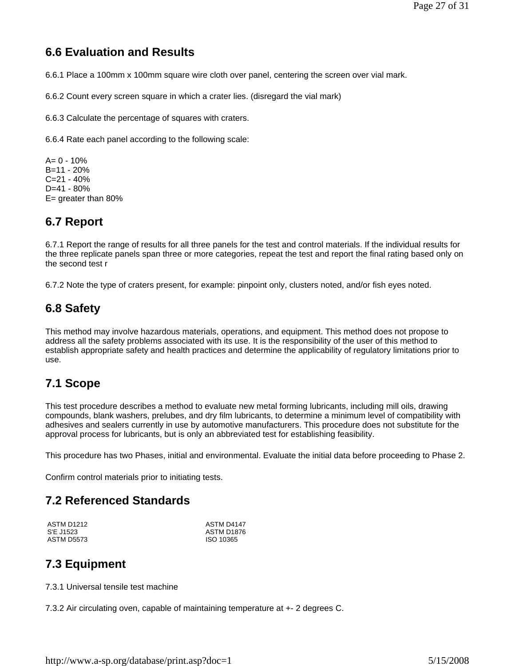# **6.6 Evaluation and Results**

6.6.1 Place a 100mm x 100mm square wire cloth over panel, centering the screen over vial mark.

6.6.2 Count every screen square in which a crater lies. (disregard the vial mark)

6.6.3 Calculate the percentage of squares with craters.

6.6.4 Rate each panel according to the following scale:

 $A = 0 - 10%$ B=11 - 20% C=21 - 40% D=41 - 80% E= greater than 80%

### **6.7 Report**

6.7.1 Report the range of results for all three panels for the test and control materials. If the individual results for the three replicate panels span three or more categories, repeat the test and report the final rating based only on the second test r

6.7.2 Note the type of craters present, for example: pinpoint only, clusters noted, and/or fish eyes noted.

### **6.8 Safety**

This method may involve hazardous materials, operations, and equipment. This method does not propose to address all the safety problems associated with its use. It is the responsibility of the user of this method to establish appropriate safety and health practices and determine the applicability of regulatory limitations prior to use.

### **7.1 Scope**

This test procedure describes a method to evaluate new metal forming lubricants, including mill oils, drawing compounds, blank washers, prelubes, and dry film lubricants, to determine a minimum level of compatibility with adhesives and sealers currently in use by automotive manufacturers. This procedure does not substitute for the approval process for lubricants, but is only an abbreviated test for establishing feasibility.

This procedure has two Phases, initial and environmental. Evaluate the initial data before proceeding to Phase 2.

Confirm control materials prior to initiating tests.

### **7.2 Referenced Standards**

ASTM D1212 S'E J1523 ASTM D5573 ASTM D4147 ASTM D1876 ISO 10365

### **7.3 Equipment**

7.3.1 Universal tensile test machine

7.3.2 Air circulating oven, capable of maintaining temperature at +- 2 degrees C.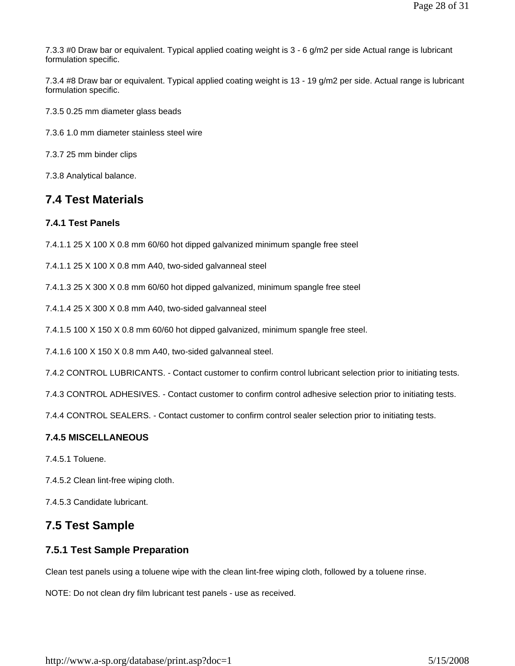7.3.3 #0 Draw bar or equivalent. Typical applied coating weight is 3 - 6 g/m2 per side Actual range is lubricant formulation specific.

7.3.4 #8 Draw bar or equivalent. Typical applied coating weight is 13 - 19 g/m2 per side. Actual range is lubricant formulation specific.

7.3.5 0.25 mm diameter glass beads

7.3.6 1.0 mm diameter stainless steel wire

7.3.7 25 mm binder clips

7.3.8 Analytical balance.

### **7.4 Test Materials**

#### **7.4.1 Test Panels**

7.4.1.1 25 X 100 X 0.8 mm 60/60 hot dipped galvanized minimum spangle free steel

7.4.1.1 25 X 100 X 0.8 mm A40, two-sided galvanneal steel

7.4.1.3 25 X 300 X 0.8 mm 60/60 hot dipped galvanized, minimum spangle free steel

7.4.1.4 25 X 300 X 0.8 mm A40, two-sided galvanneal steel

7.4.1.5 100 X 150 X 0.8 mm 60/60 hot dipped galvanized, minimum spangle free steel.

7.4.1.6 100 X 150 X 0.8 mm A40, two-sided galvanneal steel.

7.4.2 CONTROL LUBRICANTS. - Contact customer to confirm control lubricant selection prior to initiating tests.

7.4.3 CONTROL ADHESIVES. - Contact customer to confirm control adhesive selection prior to initiating tests.

7.4.4 CONTROL SEALERS. - Contact customer to confirm control sealer selection prior to initiating tests.

#### **7.4.5 MISCELLANEOUS**

7.4.5.1 Toluene.

7.4.5.2 Clean lint-free wiping cloth.

7.4.5.3 Candidate lubricant.

### **7.5 Test Sample**

#### **7.5.1 Test Sample Preparation**

Clean test panels using a toluene wipe with the clean lint-free wiping cloth, followed by a toluene rinse.

NOTE: Do not clean dry film lubricant test panels - use as received.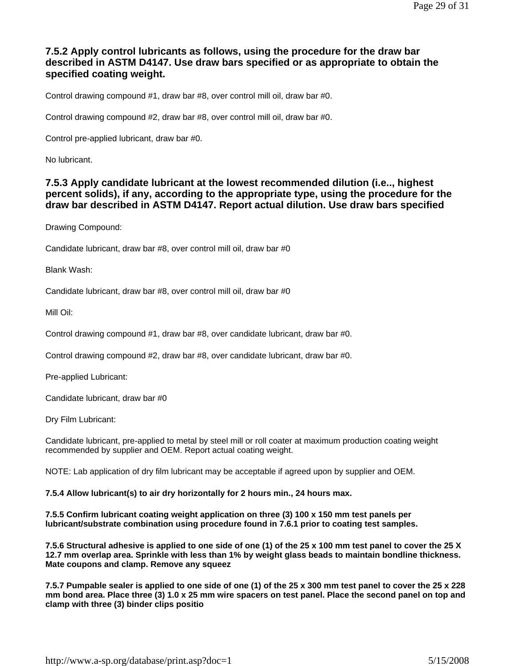### **7.5.2 Apply control lubricants as follows, using the procedure for the draw bar described in ASTM D4147. Use draw bars specified or as appropriate to obtain the specified coating weight.**

Control drawing compound #1, draw bar #8, over control mill oil, draw bar #0.

Control drawing compound #2, draw bar #8, over control mill oil, draw bar #0.

Control pre-applied lubricant, draw bar #0.

No lubricant.

#### **7.5.3 Apply candidate lubricant at the lowest recommended dilution (i.e.., highest percent solids), if any, according to the appropriate type, using the procedure for the draw bar described in ASTM D4147. Report actual dilution. Use draw bars specified**

Drawing Compound:

Candidate lubricant, draw bar #8, over control mill oil, draw bar #0

Blank Wash:

Candidate lubricant, draw bar #8, over control mill oil, draw bar #0

Mill Oil:

Control drawing compound #1, draw bar #8, over candidate lubricant, draw bar #0.

Control drawing compound #2, draw bar #8, over candidate lubricant, draw bar #0.

Pre-applied Lubricant:

Candidate lubricant, draw bar #0

Dry Film Lubricant:

Candidate lubricant, pre-applied to metal by steel mill or roll coater at maximum production coating weight recommended by supplier and OEM. Report actual coating weight.

NOTE: Lab application of dry film lubricant may be acceptable if agreed upon by supplier and OEM.

**7.5.4 Allow lubricant(s) to air dry horizontally for 2 hours min., 24 hours max.**

**7.5.5 Confirm lubricant coating weight application on three (3) 100 x 150 mm test panels per lubricant/substrate combination using procedure found in 7.6.1 prior to coating test samples.**

**7.5.6 Structural adhesive is applied to one side of one (1) of the 25 x 100 mm test panel to cover the 25 X 12.7 mm overlap area. Sprinkle with less than 1% by weight glass beads to maintain bondline thickness. Mate coupons and clamp. Remove any squeez**

**7.5.7 Pumpable sealer is applied to one side of one (1) of the 25 x 300 mm test panel to cover the 25 x 228 mm bond area. Place three (3) 1.0 x 25 mm wire spacers on test panel. Place the second panel on top and clamp with three (3) binder clips positio**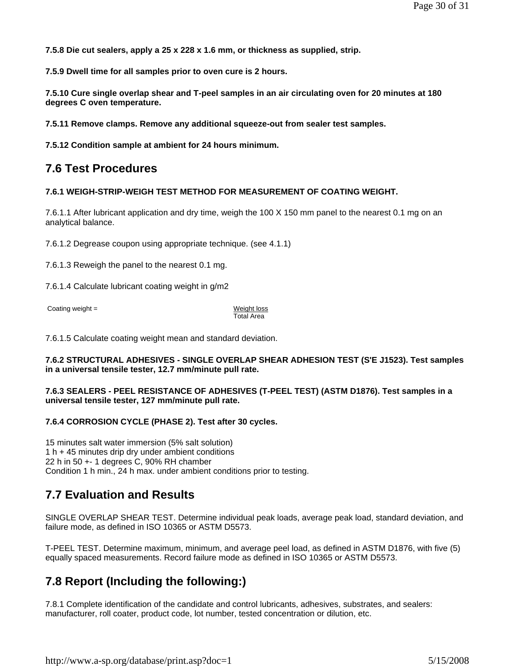**7.5.8 Die cut sealers, apply a 25 x 228 x 1.6 mm, or thickness as supplied, strip.**

**7.5.9 Dwell time for all samples prior to oven cure is 2 hours.**

**7.5.10 Cure single overlap shear and T-peel samples in an air circulating oven for 20 minutes at 180 degrees C oven temperature.**

**7.5.11 Remove clamps. Remove any additional squeeze-out from sealer test samples.**

**7.5.12 Condition sample at ambient for 24 hours minimum.**

### **7.6 Test Procedures**

#### **7.6.1 WEIGH-STRIP-WEIGH TEST METHOD FOR MEASUREMENT OF COATING WEIGHT.**

7.6.1.1 After lubricant application and dry time, weigh the 100 X 150 mm panel to the nearest 0.1 mg on an analytical balance.

7.6.1.2 Degrease coupon using appropriate technique. (see 4.1.1)

7.6.1.3 Reweigh the panel to the nearest 0.1 mg.

7.6.1.4 Calculate lubricant coating weight in g/m2

Coating weight = Weight loss

Total Area

7.6.1.5 Calculate coating weight mean and standard deviation.

#### **7.6.2 STRUCTURAL ADHESIVES - SINGLE OVERLAP SHEAR ADHESION TEST (S'E J1523). Test samples in a universal tensile tester, 12.7 mm/minute pull rate.**

#### **7.6.3 SEALERS - PEEL RESISTANCE OF ADHESIVES (T-PEEL TEST) (ASTM D1876). Test samples in a universal tensile tester, 127 mm/minute pull rate.**

#### **7.6.4 CORROSION CYCLE (PHASE 2). Test after 30 cycles.**

15 minutes salt water immersion (5% salt solution) 1 h + 45 minutes drip dry under ambient conditions 22 h in 50 +- 1 degrees C, 90% RH chamber Condition 1 h min., 24 h max. under ambient conditions prior to testing.

### **7.7 Evaluation and Results**

SINGLE OVERLAP SHEAR TEST. Determine individual peak loads, average peak load, standard deviation, and failure mode, as defined in ISO 10365 or ASTM D5573.

T-PEEL TEST. Determine maximum, minimum, and average peel load, as defined in ASTM D1876, with five (5) equally spaced measurements. Record failure mode as defined in ISO 10365 or ASTM D5573.

### **7.8 Report (Including the following:)**

7.8.1 Complete identification of the candidate and control lubricants, adhesives, substrates, and sealers: manufacturer, roll coater, product code, lot number, tested concentration or dilution, etc.